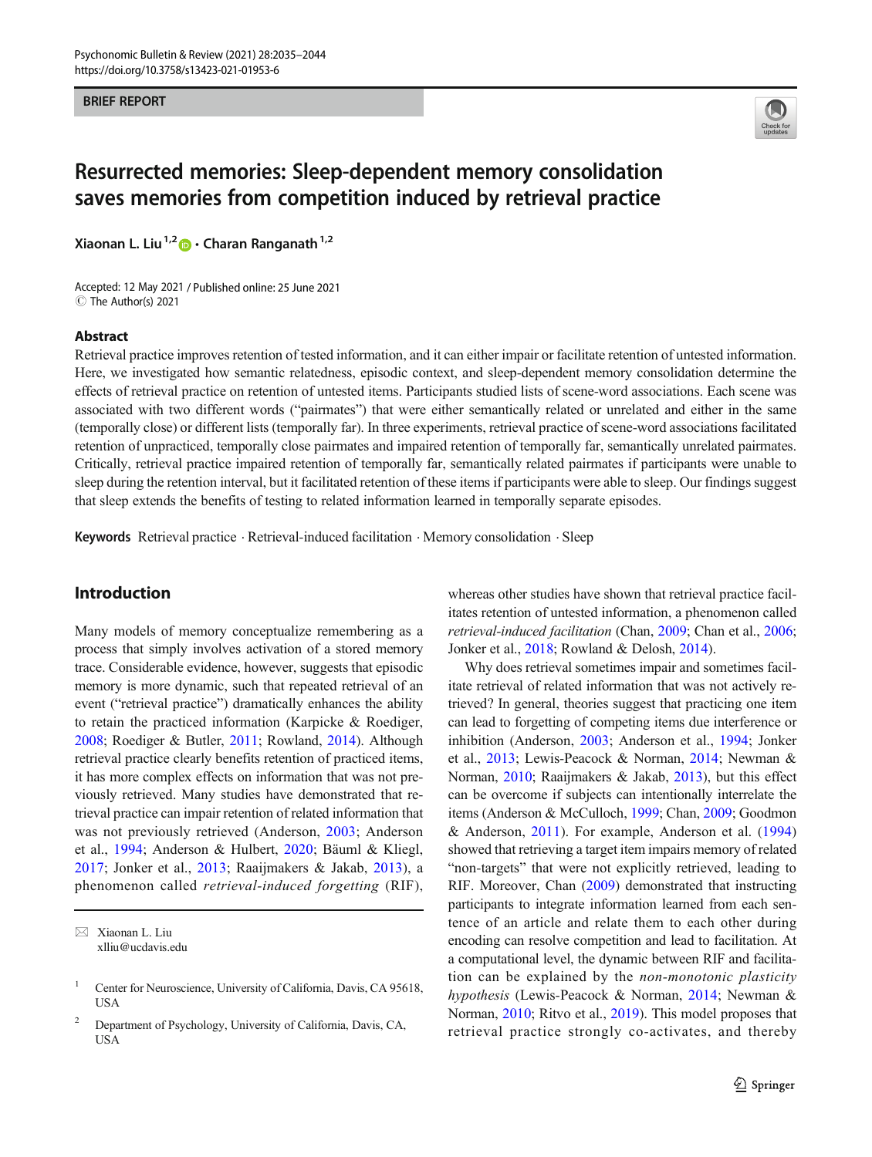#### **BRIEF REPORT** BRIEF REPORT



# Resurrected memories: Sleep-dependent memory consolidation saves memories from competition induced by retrieval practice

Xiaonan L. Liu<sup>1,2</sup>  $\bullet$  · Charan Ranganath<sup>1,2</sup>

Accepted: 12 May 2021 / Published online: 25 June 2021 C The Author(s) 2021

# Abstract

Retrieval practice improves retention of tested information, and it can either impair or facilitate retention of untested information. Here, we investigated how semantic relatedness, episodic context, and sleep-dependent memory consolidation determine the effects of retrieval practice on retention of untested items. Participants studied lists of scene-word associations. Each scene was associated with two different words ("pairmates") that were either semantically related or unrelated and either in the same (temporally close) or different lists (temporally far). In three experiments, retrieval practice of scene-word associations facilitated retention of unpracticed, temporally close pairmates and impaired retention of temporally far, semantically unrelated pairmates. Critically, retrieval practice impaired retention of temporally far, semantically related pairmates if participants were unable to sleep during the retention interval, but it facilitated retention of these items if participants were able to sleep. Our findings suggest that sleep extends the benefits of testing to related information learned in temporally separate episodes.

Keywords Retrieval practice · Retrieval-induced facilitation · Memory consolidation · Sleep

# Introduction

Many models of memory conceptualize remembering as a process that simply involves activation of a stored memory trace. Considerable evidence, however, suggests that episodic memory is more dynamic, such that repeated retrieval of an event ("retrieval practice") dramatically enhances the ability to retain the practiced information (Karpicke & Roediger, [2008;](#page-9-0) Roediger & Butler, [2011](#page-9-0); Rowland, [2014](#page-9-0)). Although retrieval practice clearly benefits retention of practiced items, it has more complex effects on information that was not previously retrieved. Many studies have demonstrated that retrieval practice can impair retention of related information that was not previously retrieved (Anderson, [2003](#page-9-0); Anderson et al., [1994;](#page-9-0) Anderson & Hulbert, [2020](#page-9-0); Bäuml & Kliegl, [2017](#page-9-0); Jonker et al., [2013;](#page-9-0) Raaijmakers & Jakab, [2013](#page-9-0)), a phenomenon called retrieval-induced forgetting (RIF),

whereas other studies have shown that retrieval practice facilitates retention of untested information, a phenomenon called retrieval-induced facilitation (Chan, [2009](#page-9-0); Chan et al., [2006;](#page-9-0) Jonker et al., [2018](#page-9-0); Rowland & Delosh, [2014\)](#page-9-0).

Why does retrieval sometimes impair and sometimes facilitate retrieval of related information that was not actively retrieved? In general, theories suggest that practicing one item can lead to forgetting of competing items due interference or inhibition (Anderson, [2003](#page-9-0); Anderson et al., [1994](#page-9-0); Jonker et al., [2013](#page-9-0); Lewis-Peacock & Norman, [2014](#page-9-0); Newman & Norman, [2010;](#page-9-0) Raaijmakers & Jakab, [2013](#page-9-0)), but this effect can be overcome if subjects can intentionally interrelate the items (Anderson & McCulloch, [1999](#page-9-0); Chan, [2009](#page-9-0); Goodmon & Anderson, [2011](#page-9-0)). For example, Anderson et al. ([1994](#page-9-0)) showed that retrieving a target item impairs memory of related "non-targets" that were not explicitly retrieved, leading to RIF. Moreover, Chan [\(2009](#page-9-0)) demonstrated that instructing participants to integrate information learned from each sentence of an article and relate them to each other during encoding can resolve competition and lead to facilitation. At a computational level, the dynamic between RIF and facilitation can be explained by the non-monotonic plasticity hypothesis (Lewis-Peacock & Norman, [2014](#page-9-0); Newman & Norman, [2010;](#page-9-0) Ritvo et al., [2019\)](#page-9-0). This model proposes that retrieval practice strongly co-activates, and thereby

 $\boxtimes$  Xiaonan L. Liu [xlliu@ucdavis.edu](mailto:xlliu@ucdavis.edu)

<sup>&</sup>lt;sup>1</sup> Center for Neuroscience, University of California, Davis, CA 95618, **USA** 

<sup>2</sup> Department of Psychology, University of California, Davis, CA, USA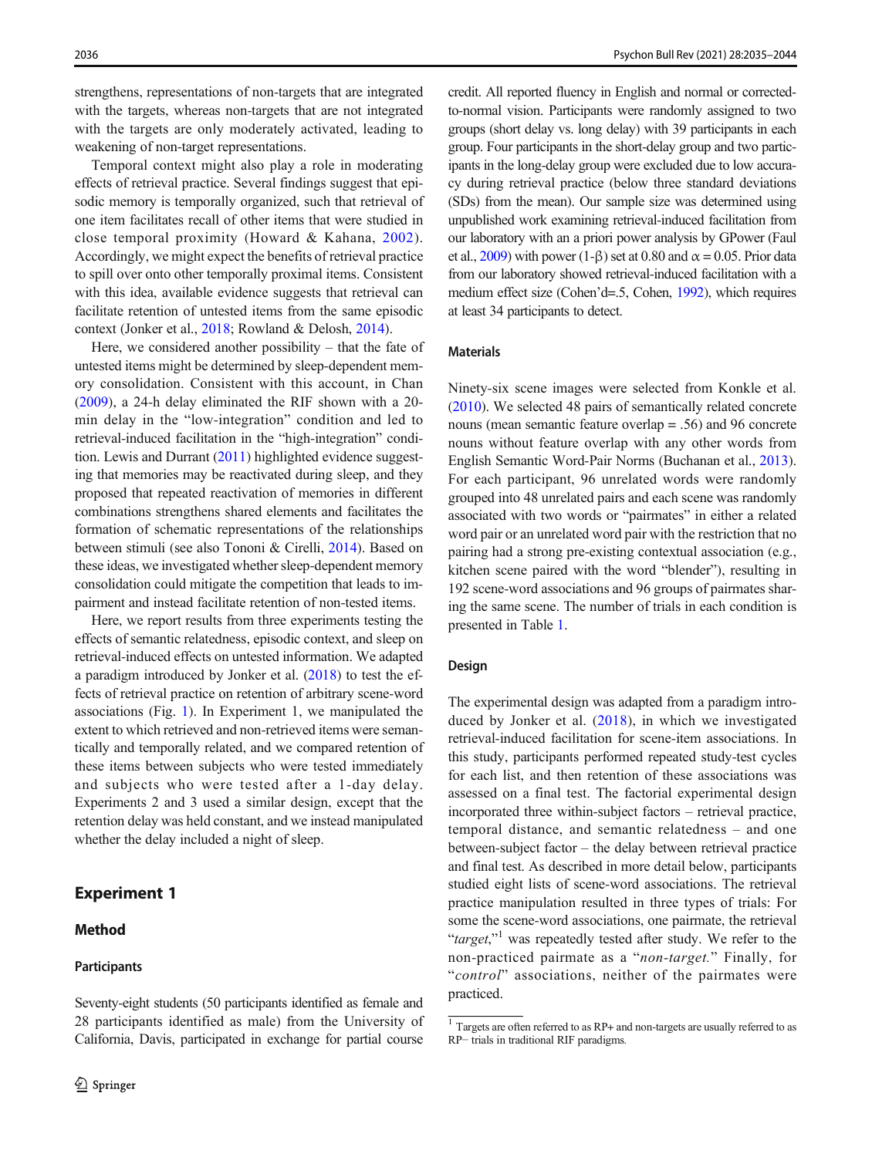strengthens, representations of non-targets that are integrated with the targets, whereas non-targets that are not integrated with the targets are only moderately activated, leading to weakening of non-target representations.

Temporal context might also play a role in moderating effects of retrieval practice. Several findings suggest that episodic memory is temporally organized, such that retrieval of one item facilitates recall of other items that were studied in close temporal proximity (Howard & Kahana, [2002](#page-9-0)). Accordingly, we might expect the benefits of retrieval practice to spill over onto other temporally proximal items. Consistent with this idea, available evidence suggests that retrieval can facilitate retention of untested items from the same episodic context (Jonker et al., [2018](#page-9-0); Rowland & Delosh, [2014\)](#page-9-0).

Here, we considered another possibility – that the fate of untested items might be determined by sleep-dependent memory consolidation. Consistent with this account, in Chan [\(2009\)](#page-9-0), a 24-h delay eliminated the RIF shown with a 20 min delay in the "low-integration" condition and led to retrieval-induced facilitation in the "high-integration" condition. Lewis and Durrant ([2011](#page-9-0)) highlighted evidence suggesting that memories may be reactivated during sleep, and they proposed that repeated reactivation of memories in different combinations strengthens shared elements and facilitates the formation of schematic representations of the relationships between stimuli (see also Tononi & Cirelli, [2014\)](#page-9-0). Based on these ideas, we investigated whether sleep-dependent memory consolidation could mitigate the competition that leads to impairment and instead facilitate retention of non-tested items.

Here, we report results from three experiments testing the effects of semantic relatedness, episodic context, and sleep on retrieval-induced effects on untested information. We adapted a paradigm introduced by Jonker et al. ([2018](#page-9-0)) to test the effects of retrieval practice on retention of arbitrary scene-word associations (Fig. [1\)](#page-2-0). In Experiment 1, we manipulated the extent to which retrieved and non-retrieved items were semantically and temporally related, and we compared retention of these items between subjects who were tested immediately and subjects who were tested after a 1-day delay. Experiments 2 and 3 used a similar design, except that the retention delay was held constant, and we instead manipulated whether the delay included a night of sleep.

# Experiment 1

# Method

#### **Participants**

Seventy-eight students (50 participants identified as female and 28 participants identified as male) from the University of California, Davis, participated in exchange for partial course credit. All reported fluency in English and normal or correctedto-normal vision. Participants were randomly assigned to two groups (short delay vs. long delay) with 39 participants in each group. Four participants in the short-delay group and two participants in the long-delay group were excluded due to low accuracy during retrieval practice (below three standard deviations (SDs) from the mean). Our sample size was determined using unpublished work examining retrieval-induced facilitation from our laboratory with an a priori power analysis by GPower (Faul et al.,  $2009$ ) with power (1- $\beta$ ) set at 0.80 and  $\alpha = 0.05$ . Prior data from our laboratory showed retrieval-induced facilitation with a medium effect size (Cohen'd=.5, Cohen, [1992\)](#page-9-0), which requires at least 34 participants to detect.

# Materials

Ninety-six scene images were selected from Konkle et al. [\(2010\)](#page-9-0). We selected 48 pairs of semantically related concrete nouns (mean semantic feature overlap = .56) and 96 concrete nouns without feature overlap with any other words from English Semantic Word-Pair Norms (Buchanan et al., [2013\)](#page-9-0). For each participant, 96 unrelated words were randomly grouped into 48 unrelated pairs and each scene was randomly associated with two words or "pairmates" in either a related word pair or an unrelated word pair with the restriction that no pairing had a strong pre-existing contextual association (e.g., kitchen scene paired with the word "blender"), resulting in 192 scene-word associations and 96 groups of pairmates sharing the same scene. The number of trials in each condition is presented in Table [1.](#page-2-0)

### Design

The experimental design was adapted from a paradigm introduced by Jonker et al. [\(2018\)](#page-9-0), in which we investigated retrieval-induced facilitation for scene-item associations. In this study, participants performed repeated study-test cycles for each list, and then retention of these associations was assessed on a final test. The factorial experimental design incorporated three within-subject factors – retrieval practice, temporal distance, and semantic relatedness – and one between-subject factor – the delay between retrieval practice and final test. As described in more detail below, participants studied eight lists of scene-word associations. The retrieval practice manipulation resulted in three types of trials: For some the scene-word associations, one pairmate, the retrieval "target,"<sup>1</sup> was repeatedly tested after study. We refer to the non-practiced pairmate as a "non-target." Finally, for "control" associations, neither of the pairmates were practiced.

<sup>1</sup> Targets are often referred to as RP+ and non-targets are usually referred to as RP− trials in traditional RIF paradigms.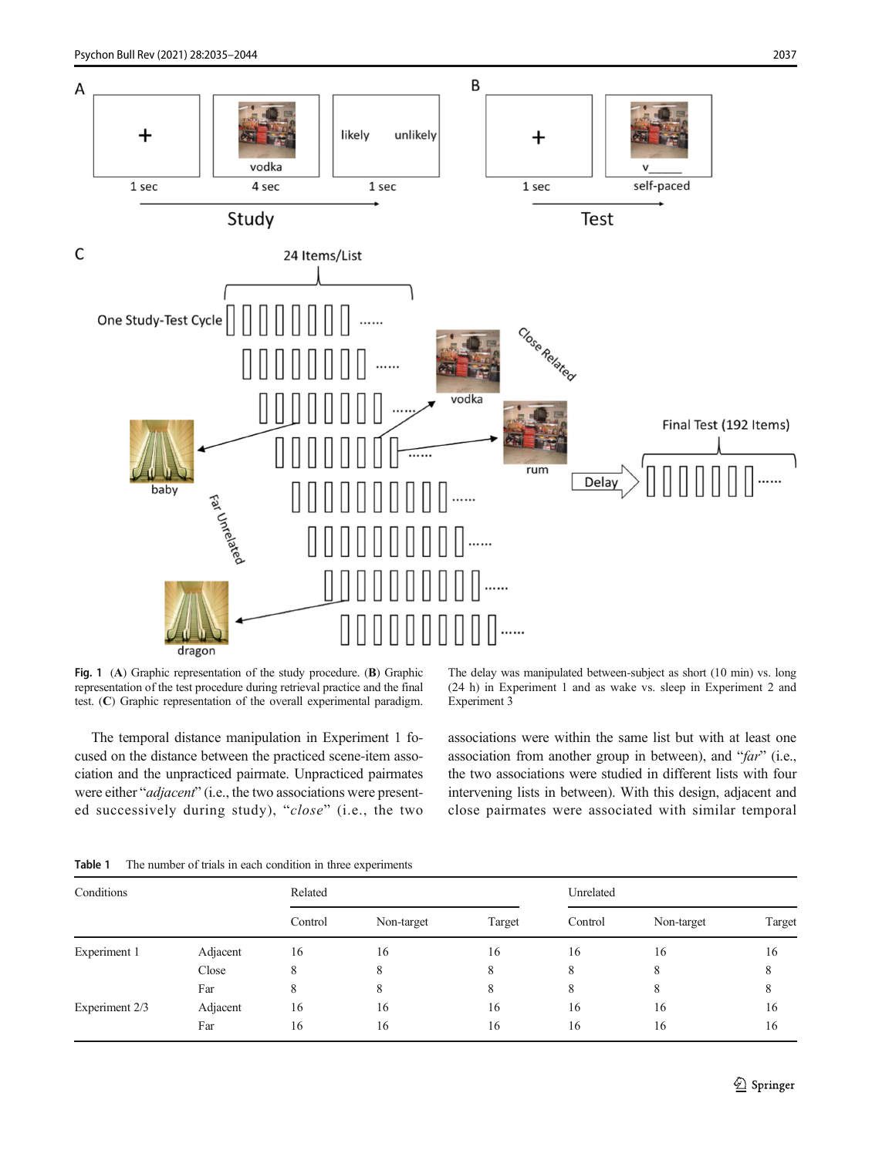<span id="page-2-0"></span>

Fig. 1 (A) Graphic representation of the study procedure. (B) Graphic representation of the test procedure during retrieval practice and the final test. (C) Graphic representation of the overall experimental paradigm.

The temporal distance manipulation in Experiment 1 focused on the distance between the practiced scene-item association and the unpracticed pairmate. Unpracticed pairmates were either "adjacent" (i.e., the two associations were presented successively during study), "close" (i.e., the two The delay was manipulated between-subject as short (10 min) vs. long (24 h) in Experiment 1 and as wake vs. sleep in Experiment 2 and Experiment 3

associations were within the same list but with at least one association from another group in between), and "far" (i.e., the two associations were studied in different lists with four intervening lists in between). With this design, adjacent and close pairmates were associated with similar temporal

| The number of trials in each condition in three experiments<br>Table 1 |
|------------------------------------------------------------------------|
|------------------------------------------------------------------------|

| Conditions     |          | Related |            |        | Unrelated |            |        |  |  |
|----------------|----------|---------|------------|--------|-----------|------------|--------|--|--|
|                |          | Control | Non-target | Target | Control   | Non-target | Target |  |  |
| Experiment 1   | Adjacent | 16      | 16         | 16     | 16        | 16         | 16     |  |  |
|                | Close    | 8       | 8          | 8      | 8         | 8          |        |  |  |
|                | Far      | 8       | 8          | 8      | 8         | 8          | 8      |  |  |
| Experiment 2/3 | Adjacent | 16      | 16         | 16     | 16        | 16         | 16     |  |  |
|                | Far      | 16      | 16         | 16     | 16        | 16         | 16     |  |  |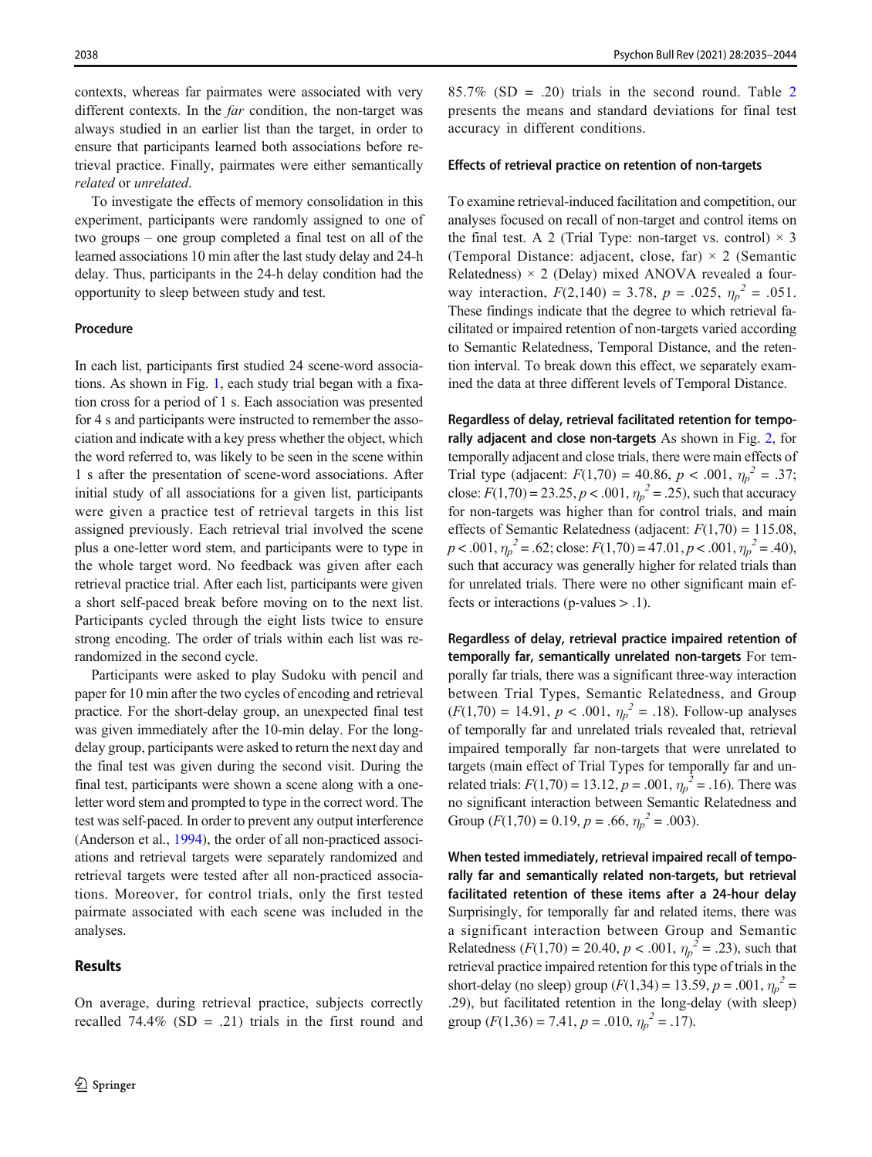contexts, whereas far pairmates were associated with very different contexts. In the *far* condition, the non-target was always studied in an earlier list than the target, in order to ensure that participants learned both associations before retrieval practice. Finally, pairmates were either semantically related or unrelated.

To investigate the effects of memory consolidation in this experiment, participants were randomly assigned to one of two groups – one group completed a final test on all of the learned associations 10 min after the last study delay and 24-h delay. Thus, participants in the 24-h delay condition had the opportunity to sleep between study and test.

### Procedure

In each list, participants first studied 24 scene-word associations. As shown in Fig. [1](#page-2-0), each study trial began with a fixation cross for a period of 1 s. Each association was presented for 4 s and participants were instructed to remember the association and indicate with a key press whether the object, which the word referred to, was likely to be seen in the scene within 1 s after the presentation of scene-word associations. After initial study of all associations for a given list, participants were given a practice test of retrieval targets in this list assigned previously. Each retrieval trial involved the scene plus a one-letter word stem, and participants were to type in the whole target word. No feedback was given after each retrieval practice trial. After each list, participants were given a short self-paced break before moving on to the next list. Participants cycled through the eight lists twice to ensure strong encoding. The order of trials within each list was rerandomized in the second cycle.

Participants were asked to play Sudoku with pencil and paper for 10 min after the two cycles of encoding and retrieval practice. For the short-delay group, an unexpected final test was given immediately after the 10-min delay. For the longdelay group, participants were asked to return the next day and the final test was given during the second visit. During the final test, participants were shown a scene along with a oneletter word stem and prompted to type in the correct word. The test was self-paced. In order to prevent any output interference (Anderson et al., [1994](#page-9-0)), the order of all non-practiced associations and retrieval targets were separately randomized and retrieval targets were tested after all non-practiced associations. Moreover, for control trials, only the first tested pairmate associated with each scene was included in the analyses.

### Results

 $85.7\%$  (SD = .[2](#page-4-0)0) trials in the second round. Table 2 presents the means and standard deviations for final test accuracy in different conditions.

### Effects of retrieval practice on retention of non-targets

To examine retrieval-induced facilitation and competition, our analyses focused on recall of non-target and control items on the final test. A 2 (Trial Type: non-target vs. control)  $\times$  3 (Temporal Distance: adjacent, close, far)  $\times$  2 (Semantic Relatedness)  $\times$  2 (Delay) mixed ANOVA revealed a fourway interaction,  $F(2,140) = 3.78$ ,  $p = .025$ ,  $\eta_p^2 = .051$ . These findings indicate that the degree to which retrieval facilitated or impaired retention of non-targets varied according to Semantic Relatedness, Temporal Distance, and the retention interval. To break down this effect, we separately examined the data at three different levels of Temporal Distance.

Regardless of delay, retrieval facilitated retention for tempo-rally adjacent and close non-targets As shown in Fig. [2,](#page-4-0) for temporally adjacent and close trials, there were main effects of Trial type (adjacent:  $F(1,70) = 40.86$ ,  $p < .001$ ,  $\eta_p^2 = .37$ ; close:  $F(1,70) = 23.25, p < .001, \eta_p^2 = .25$ , such that accuracy for non-targets was higher than for control trials, and main effects of Semantic Relatedness (adjacent:  $F(1,70) = 115.08$ ,  $p < .001$ ,  $\eta_p^2 = .62$ ; close:  $F(1,70) = 47.01$ ,  $p < .001$ ,  $\eta_p^2 = .40$ ), such that accuracy was generally higher for related trials than for unrelated trials. There were no other significant main effects or interactions (p-values > .1).

Regardless of delay, retrieval practice impaired retention of temporally far, semantically unrelated non-targets For temporally far trials, there was a significant three-way interaction between Trial Types, Semantic Relatedness, and Group  $(F(1,70) = 14.91, p < .001, \eta_p^2 = .18)$ . Follow-up analyses of temporally far and unrelated trials revealed that, retrieval impaired temporally far non-targets that were unrelated to targets (main effect of Trial Types for temporally far and unrelated trials:  $F(1,70) = 13.12, p = .001, \eta_p^2 = .16$ ). There was no significant interaction between Semantic Relatedness and Group  $(F(1,70) = 0.19, p = .66, \eta_p^2 = .003)$ .

When tested immediately, retrieval impaired recall of temporally far and semantically related non-targets, but retrieval facilitated retention of these items after a 24-hour delay Surprisingly, for temporally far and related items, there was a significant interaction between Group and Semantic Relatedness ( $F(1,70) = 20.40, p < .001, \eta_p^2 = .23$ ), such that retrieval practice impaired retention for this type of trials in the short-delay (no sleep) group  $(F(1,34) = 13.59, p = .001, \eta_p^2 =$ .29), but facilitated retention in the long-delay (with sleep) group  $(F(1,36) = 7.41, p = .010, \eta_p^2 = .17)$ .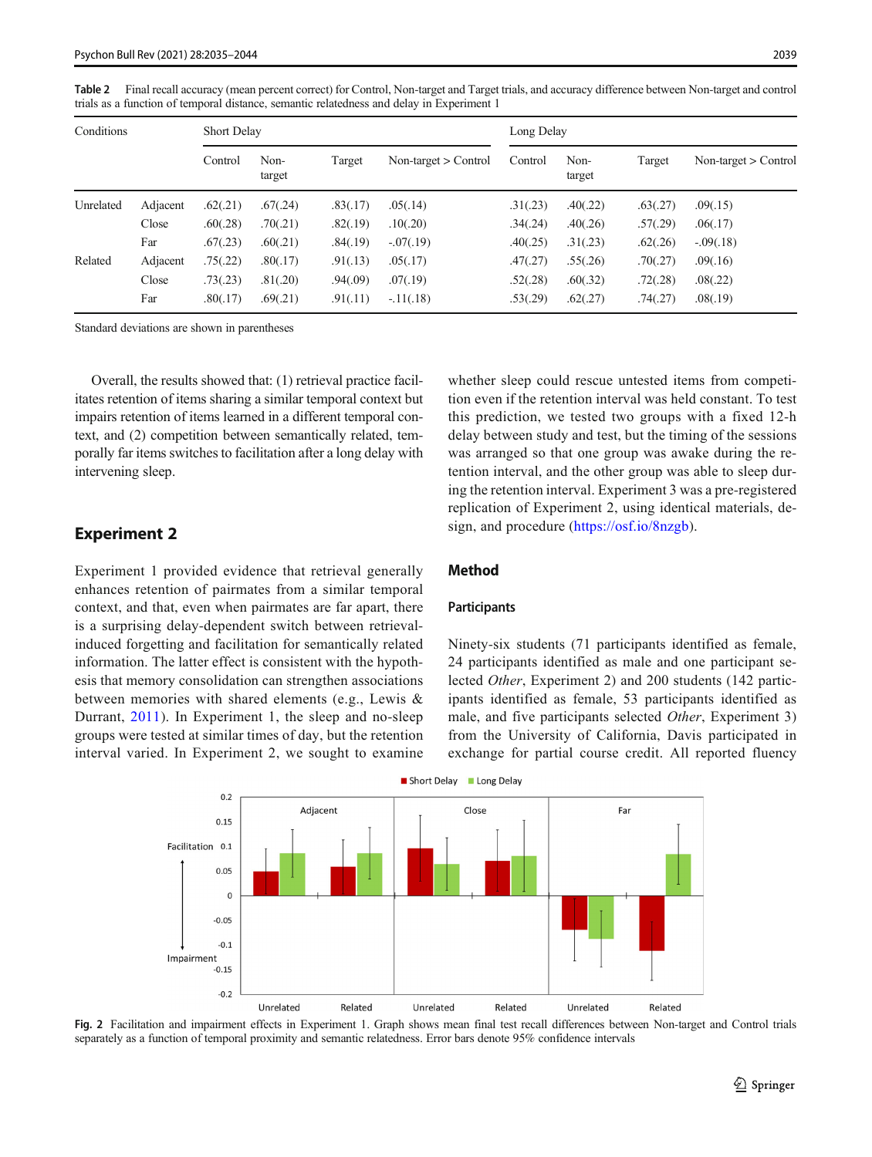<span id="page-4-0"></span>Table 2 Final recall accuracy (mean percent correct) for Control, Non-target and Target trials, and accuracy difference between Non-target and control trials as a function of temporal distance, semantic relatedness and delay in Experiment 1

| Conditions |          | Short Delay |                |          |                        | Long Delay |                |          |                        |
|------------|----------|-------------|----------------|----------|------------------------|------------|----------------|----------|------------------------|
|            |          | Control     | Non-<br>target | Target   | Non-target $>$ Control | Control    | Non-<br>target | Target   | Non-target $>$ Control |
| Unrelated  | Adjacent | .62(.21)    | .67(.24)       | .83(.17) | .05(.14)               | .31(.23)   | .40(.22)       | .63(.27) | .09(.15)               |
|            | Close    | .60(.28)    | .70(.21)       | .82(.19) | .10(.20)               | .34(.24)   | .40(.26)       | .57(.29) | .06(.17)               |
|            | Far      | .67(.23)    | .60(.21)       | .84(.19) | $-.07(.19)$            | .40(.25)   | .31(.23)       | .62(.26) | $-.09(.18)$            |
| Related    | Adjacent | .75(.22)    | .80(.17)       | .91(.13) | .05(.17)               | .47(.27)   | .55(.26)       | .70(.27) | .09(.16)               |
|            | Close    | .73(.23)    | .81(.20)       | .94(.09) | .07(.19)               | .52(.28)   | .60(.32)       | .72(.28) | .08(.22)               |
|            | Far      | .80(.17)    | .69(.21)       | .91(.11) | $-11(.18)$             | .53(.29)   | .62(.27)       | .74(.27) | .08(.19)               |

Standard deviations are shown in parentheses

Overall, the results showed that: (1) retrieval practice facilitates retention of items sharing a similar temporal context but impairs retention of items learned in a different temporal context, and (2) competition between semantically related, temporally far items switches to facilitation after a long delay with intervening sleep.

# Experiment 2

Experiment 1 provided evidence that retrieval generally enhances retention of pairmates from a similar temporal context, and that, even when pairmates are far apart, there is a surprising delay-dependent switch between retrievalinduced forgetting and facilitation for semantically related information. The latter effect is consistent with the hypothesis that memory consolidation can strengthen associations between memories with shared elements (e.g., Lewis & Durrant, [2011\)](#page-9-0). In Experiment 1, the sleep and no-sleep groups were tested at similar times of day, but the retention interval varied. In Experiment 2, we sought to examine whether sleep could rescue untested items from competition even if the retention interval was held constant. To test this prediction, we tested two groups with a fixed 12-h delay between study and test, but the timing of the sessions was arranged so that one group was awake during the retention interval, and the other group was able to sleep during the retention interval. Experiment 3 was a pre-registered replication of Experiment 2, using identical materials, design, and procedure [\(https://osf.io/8nzgb\)](https://osf.io/8nzgb).

# Method

### Participants

Ninety-six students (71 participants identified as female, 24 participants identified as male and one participant selected Other, Experiment 2) and 200 students (142 participants identified as female, 53 participants identified as male, and five participants selected Other, Experiment 3) from the University of California, Davis participated in exchange for partial course credit. All reported fluency



Fig. 2 Facilitation and impairment effects in Experiment 1. Graph shows mean final test recall differences between Non-target and Control trials separately as a function of temporal proximity and semantic relatedness. Error bars denote 95% confidence intervals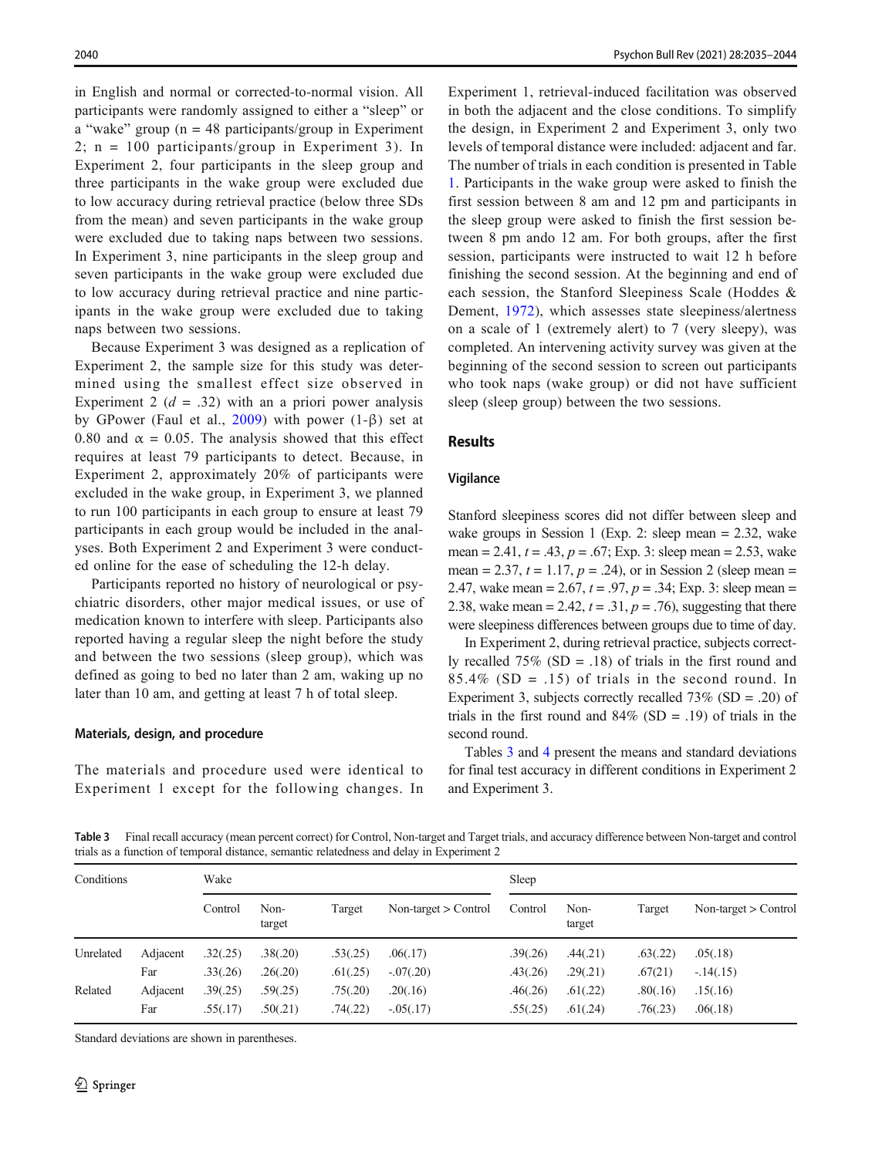in English and normal or corrected-to-normal vision. All participants were randomly assigned to either a "sleep" or a "wake" group ( $n = 48$  participants/group in Experiment 2; n = 100 participants/group in Experiment 3). In Experiment 2, four participants in the sleep group and three participants in the wake group were excluded due to low accuracy during retrieval practice (below three SDs from the mean) and seven participants in the wake group were excluded due to taking naps between two sessions. In Experiment 3, nine participants in the sleep group and seven participants in the wake group were excluded due to low accuracy during retrieval practice and nine participants in the wake group were excluded due to taking naps between two sessions.

Because Experiment 3 was designed as a replication of Experiment 2, the sample size for this study was determined using the smallest effect size observed in Experiment 2 ( $d = .32$ ) with an a priori power analysis by GPower (Faul et al.,  $2009$ ) with power (1- $\beta$ ) set at 0.80 and  $\alpha = 0.05$ . The analysis showed that this effect requires at least 79 participants to detect. Because, in Experiment 2, approximately 20% of participants were excluded in the wake group, in Experiment 3, we planned to run 100 participants in each group to ensure at least 79 participants in each group would be included in the analyses. Both Experiment 2 and Experiment 3 were conducted online for the ease of scheduling the 12-h delay.

Participants reported no history of neurological or psychiatric disorders, other major medical issues, or use of medication known to interfere with sleep. Participants also reported having a regular sleep the night before the study and between the two sessions (sleep group), which was defined as going to bed no later than 2 am, waking up no later than 10 am, and getting at least 7 h of total sleep.

# Materials, design, and procedure

The materials and procedure used were identical to Experiment 1 except for the following changes. In

Experiment 1, retrieval-induced facilitation was observed in both the adjacent and the close conditions. To simplify the design, in Experiment 2 and Experiment 3, only two levels of temporal distance were included: adjacent and far. The number of trials in each condition is presented in Table [1](#page-2-0). Participants in the wake group were asked to finish the first session between 8 am and 12 pm and participants in the sleep group were asked to finish the first session between 8 pm ando 12 am. For both groups, after the first session, participants were instructed to wait 12 h before finishing the second session. At the beginning and end of each session, the Stanford Sleepiness Scale (Hoddes & Dement, [1972](#page-9-0)), which assesses state sleepiness/alertness on a scale of 1 (extremely alert) to 7 (very sleepy), was completed. An intervening activity survey was given at the beginning of the second session to screen out participants who took naps (wake group) or did not have sufficient sleep (sleep group) between the two sessions.

### Results

### Vigilance

Stanford sleepiness scores did not differ between sleep and wake groups in Session 1 (Exp. 2: sleep mean = 2.32, wake mean = 2.41,  $t = .43$ ,  $p = .67$ ; Exp. 3: sleep mean = 2.53, wake mean = 2.37,  $t = 1.17$ ,  $p = .24$ ), or in Session 2 (sleep mean = 2.47, wake mean =  $2.67$ ,  $t = .97$ ,  $p = .34$ ; Exp. 3: sleep mean = 2.38, wake mean = 2.42,  $t = .31$ ,  $p = .76$ ), suggesting that there were sleepiness differences between groups due to time of day.

In Experiment 2, during retrieval practice, subjects correctly recalled  $75\%$  (SD = .18) of trials in the first round and  $85.4\%$  (SD = .15) of trials in the second round. In Experiment 3, subjects correctly recalled  $73\%$  (SD = .20) of trials in the first round and  $84\%$  (SD = .19) of trials in the second round.

Tables 3 and [4](#page-7-0) present the means and standard deviations for final test accuracy in different conditions in Experiment 2 and Experiment 3.

Table 3 Final recall accuracy (mean percent correct) for Control, Non-target and Target trials, and accuracy difference between Non-target and control trials as a function of temporal distance, semantic relatedness and delay in Experiment 2

| Conditions |          | Wake     |                |          |                        | Sleep    |                |          |                        |
|------------|----------|----------|----------------|----------|------------------------|----------|----------------|----------|------------------------|
|            |          | Control  | Non-<br>target | Target   | Non-target $>$ Control | Control  | Non-<br>target | Target   | Non-target $>$ Control |
| Unrelated  | Adjacent | .32(.25) | .38(.20)       | .53(.25) | .06(.17)               | .39(.26) | .44(.21)       | .63(.22) | .05(.18)               |
|            | Far      | .33(.26) | .26(.20)       | .61(.25) | $-.07(.20)$            | .43(.26) | .29(.21)       | .67(21)  | $-.14(.15)$            |
| Related    | Adjacent | .39(.25) | .59(.25)       | .75(.20) | .20(.16)               | .46(.26) | .61(.22)       | .80(.16) | .15(.16)               |
|            | Far      | .55(.17) | .50(.21)       | .74(.22) | $-0.05(0.17)$          | .55(.25) | .61(.24)       | .76(.23) | .06(.18)               |

Standard deviations are shown in parentheses.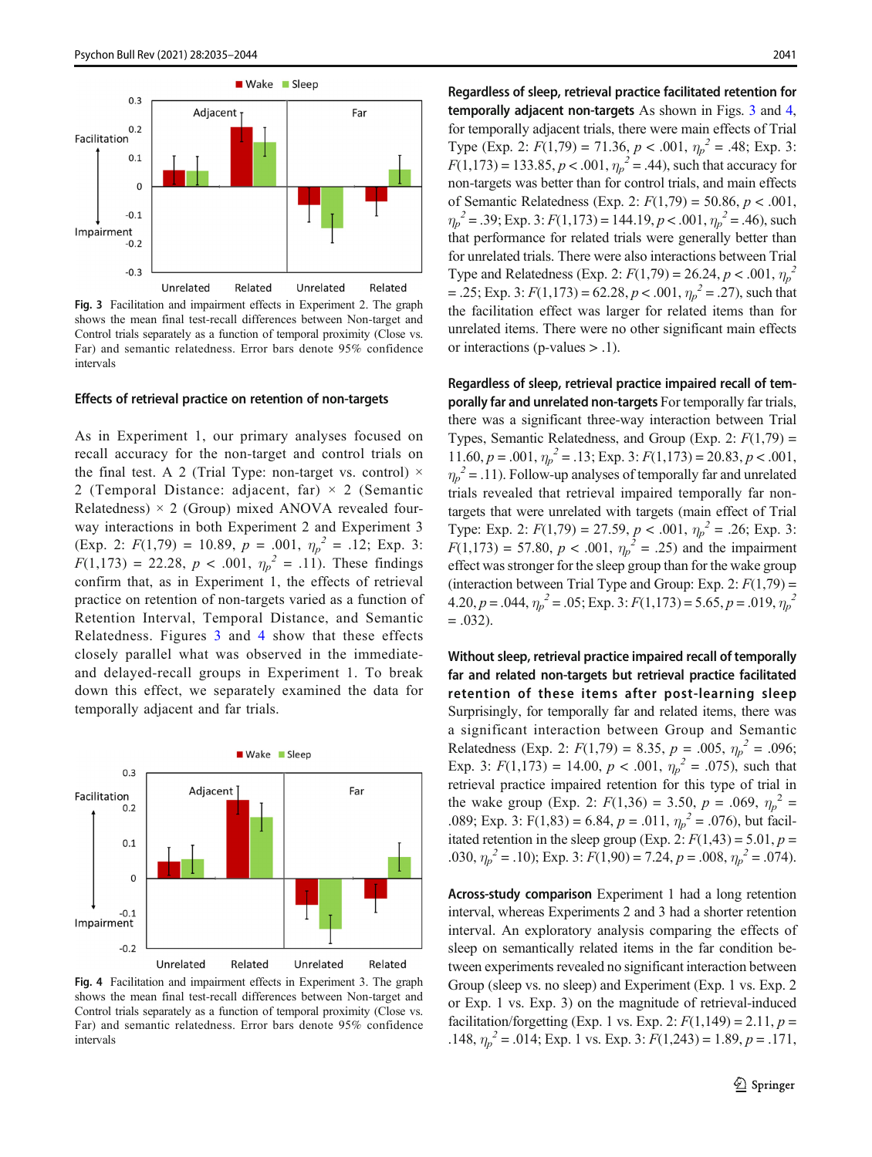

Fig. 3 Facilitation and impairment effects in Experiment 2. The graph shows the mean final test-recall differences between Non-target and Control trials separately as a function of temporal proximity (Close vs. Far) and semantic relatedness. Error bars denote 95% confidence intervals

### Effects of retrieval practice on retention of non-targets

As in Experiment 1, our primary analyses focused on recall accuracy for the non-target and control trials on the final test. A 2 (Trial Type: non-target vs. control)  $\times$ 2 (Temporal Distance: adjacent, far)  $\times$  2 (Semantic Relatedness)  $\times$  2 (Group) mixed ANOVA revealed fourway interactions in both Experiment 2 and Experiment 3 (Exp. 2:  $F(1,79) = 10.89, p = .001, \eta_p^2 = .12$ ; Exp. 3:  $F(1,173) = 22.28, p < .001, \eta_p^2 = .11$ . These findings confirm that, as in Experiment 1, the effects of retrieval practice on retention of non-targets varied as a function of Retention Interval, Temporal Distance, and Semantic Relatedness. Figures 3 and 4 show that these effects closely parallel what was observed in the immediateand delayed-recall groups in Experiment 1. To break down this effect, we separately examined the data for temporally adjacent and far trials.



Fig. 4 Facilitation and impairment effects in Experiment 3. The graph shows the mean final test-recall differences between Non-target and Control trials separately as a function of temporal proximity (Close vs. Far) and semantic relatedness. Error bars denote 95% confidence intervals

Regardless of sleep, retrieval practice facilitated retention for temporally adjacent non-targets As shown in Figs. 3 and 4, for temporally adjacent trials, there were main effects of Trial Type (Exp. 2:  $F(1,79) = 71.36, p < .001, \eta_p^2 = .48$ ; Exp. 3:  $F(1,173) = 133.85, p < .001, \eta_p^2 = .44$ ), such that accuracy for non-targets was better than for control trials, and main effects of Semantic Relatedness (Exp. 2:  $F(1,79) = 50.86, p < .001,$  $\eta_p^2 = .39$ ; Exp. 3:  $F(1,173) = 144.19, p < .001, \eta_p^2 = .46$ ), such that performance for related trials were generally better than for unrelated trials. There were also interactions between Trial Type and Relatedness (Exp. 2:  $F(1,79) = 26.24, p < .001, \eta_p^2$ = .25; Exp. 3:  $F(1,173) = 62.28, p < .001, \eta_p^2 = .27$ , such that the facilitation effect was larger for related items than for unrelated items. There were no other significant main effects or interactions (p-values > .1).

Regardless of sleep, retrieval practice impaired recall of temporally far and unrelated non-targets For temporally far trials, there was a significant three-way interaction between Trial Types, Semantic Relatedness, and Group (Exp. 2:  $F(1,79) =$ 11.60,  $p = .001$ ,  $\eta_p^2 = .13$ ; Exp. 3:  $F(1,173) = 20.83$ ,  $p < .001$ ,  $\eta_p^2$  = .11). Follow-up analyses of temporally far and unrelated trials revealed that retrieval impaired temporally far nontargets that were unrelated with targets (main effect of Trial Type: Exp. 2:  $F(1,79) = 27.59, p < .001, \eta_p^2 = .26$ ; Exp. 3:  $F(1,173) = 57.80, p < .001, \eta_p^2 = .25$  and the impairment effect was stronger for the sleep group than for the wake group (interaction between Trial Type and Group: Exp. 2:  $F(1,79) =$ 4.20,  $p = .044$ ,  $\eta_p^2 = .05$ ; Exp. 3:  $F(1,173) = 5.65$ ,  $p = .019$ ,  $\eta_p^2$  $=.032$ ).

Without sleep, retrieval practice impaired recall of temporally far and related non-targets but retrieval practice facilitated retention of these items after post-learning sleep Surprisingly, for temporally far and related items, there was a significant interaction between Group and Semantic Relatedness (Exp. 2:  $F(1,79) = 8.35$ ,  $p = .005$ ,  $\eta_p^2 = .096$ ; Exp. 3:  $F(1,173) = 14.00, p < .001, \eta_p^2 = .075$ , such that retrieval practice impaired retention for this type of trial in the wake group (Exp. 2:  $F(1,36) = 3.50$ ,  $p = .069$ ,  $\eta_p^2 =$ .089; Exp. 3: F(1,83) = 6.84,  $p = .011$ ,  $\eta_p^2 = .076$ ), but facilitated retention in the sleep group (Exp. 2:  $F(1,43) = 5.01$ ,  $p =$ .030,  $\eta_p^2 = .10$ ); Exp. 3:  $F(1,90) = 7.24$ ,  $p = .008$ ,  $\eta_p^2 = .074$ ).

Across-study comparison Experiment 1 had a long retention interval, whereas Experiments 2 and 3 had a shorter retention interval. An exploratory analysis comparing the effects of sleep on semantically related items in the far condition between experiments revealed no significant interaction between Group (sleep vs. no sleep) and Experiment (Exp. 1 vs. Exp. 2 or Exp. 1 vs. Exp. 3) on the magnitude of retrieval-induced facilitation/forgetting (Exp. 1 vs. Exp. 2:  $F(1,149) = 2.11, p =$ .148,  $\eta_p^2$  = .014; Exp. 1 vs. Exp. 3:  $F(1,243)$  = 1.89,  $p = .171$ ,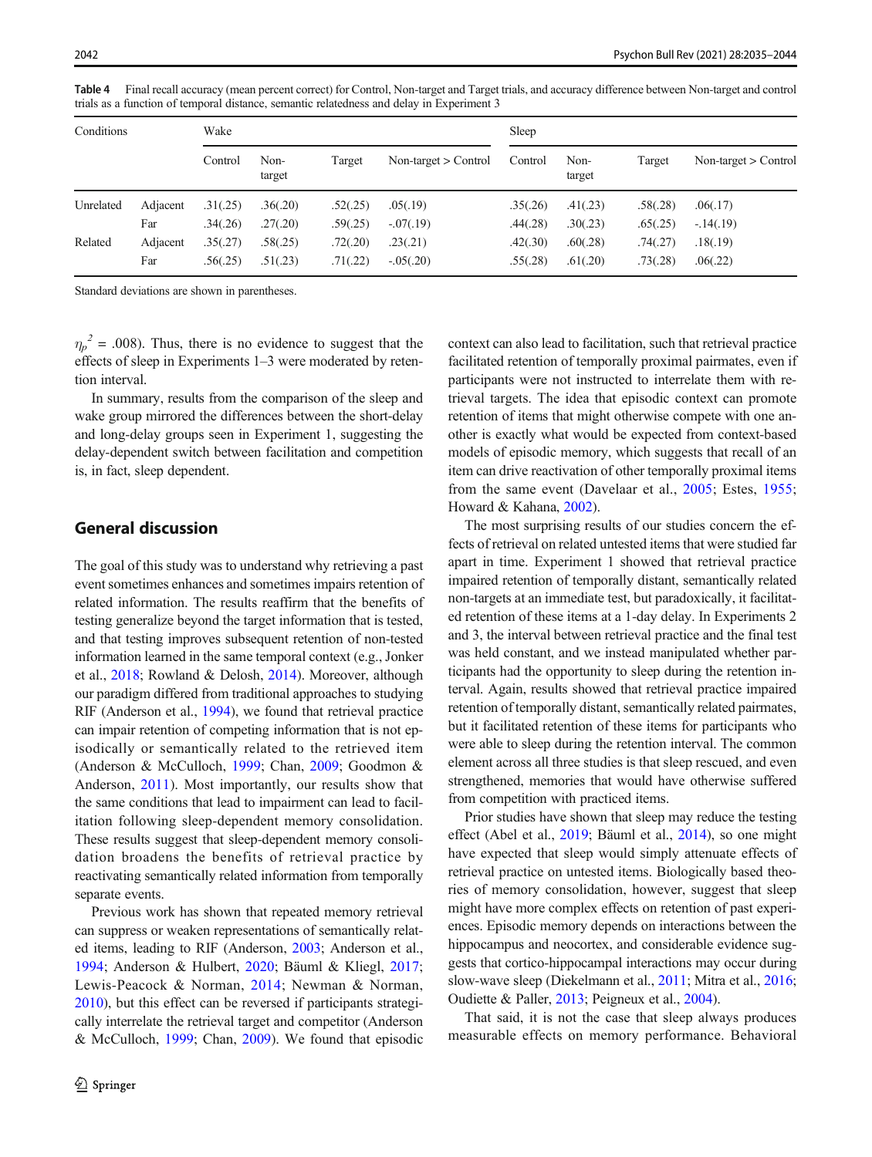| Conditions |          | Wake     |                |          |                        | Sleep    |                |          |                        |
|------------|----------|----------|----------------|----------|------------------------|----------|----------------|----------|------------------------|
|            |          | Control  | Non-<br>target | Target   | Non-target $>$ Control | Control  | Non-<br>target | Target   | Non-target $>$ Control |
| Unrelated  | Adjacent | .31(.25) | .36(.20)       | .52(.25) | .05(.19)               | .35(.26) | .41(.23)       | .58(.28) | .06(.17)               |
|            | Far      | .34(.26) | .27(.20)       | .59(.25) | $-.07(.19)$            | .44(.28) | .30(.23)       | .65(.25) | $-14(0.19)$            |
| Related    | Adjacent | .35(.27) | .58(.25)       | .72(.20) | .23(.21)               | .42(.30) | .60(.28)       | .74(.27) | .18(.19)               |
|            | Far      | .56(.25) | .51(.23)       | .71(.22) | $-.05(.20)$            | .55(.28) | .61(.20)       | .73(.28) | .06(.22)               |

<span id="page-7-0"></span>Table 4 Final recall accuracy (mean percent correct) for Control, Non-target and Target trials, and accuracy difference between Non-target and control trials as a function of temporal distance, semantic relatedness and delay in Experiment 3

Standard deviations are shown in parentheses.

 $\eta_p^2$  = .008). Thus, there is no evidence to suggest that the effects of sleep in Experiments 1–3 were moderated by retention interval.

In summary, results from the comparison of the sleep and wake group mirrored the differences between the short-delay and long-delay groups seen in Experiment 1, suggesting the delay-dependent switch between facilitation and competition is, in fact, sleep dependent.

# General discussion

The goal of this study was to understand why retrieving a past event sometimes enhances and sometimes impairs retention of related information. The results reaffirm that the benefits of testing generalize beyond the target information that is tested, and that testing improves subsequent retention of non-tested information learned in the same temporal context (e.g., Jonker et al., [2018](#page-9-0); Rowland & Delosh, [2014\)](#page-9-0). Moreover, although our paradigm differed from traditional approaches to studying RIF (Anderson et al., [1994\)](#page-9-0), we found that retrieval practice can impair retention of competing information that is not episodically or semantically related to the retrieved item (Anderson & McCulloch, [1999](#page-9-0); Chan, [2009;](#page-9-0) Goodmon & Anderson, [2011](#page-9-0)). Most importantly, our results show that the same conditions that lead to impairment can lead to facilitation following sleep-dependent memory consolidation. These results suggest that sleep-dependent memory consolidation broadens the benefits of retrieval practice by reactivating semantically related information from temporally separate events.

Previous work has shown that repeated memory retrieval can suppress or weaken representations of semantically related items, leading to RIF (Anderson, [2003](#page-9-0); Anderson et al., [1994;](#page-9-0) Anderson & Hulbert, [2020;](#page-9-0) Bäuml & Kliegl, [2017](#page-9-0); Lewis-Peacock & Norman, [2014](#page-9-0); Newman & Norman, [2010\)](#page-9-0), but this effect can be reversed if participants strategically interrelate the retrieval target and competitor (Anderson & McCulloch, [1999](#page-9-0); Chan, [2009](#page-9-0)). We found that episodic context can also lead to facilitation, such that retrieval practice facilitated retention of temporally proximal pairmates, even if participants were not instructed to interrelate them with retrieval targets. The idea that episodic context can promote retention of items that might otherwise compete with one another is exactly what would be expected from context-based models of episodic memory, which suggests that recall of an item can drive reactivation of other temporally proximal items from the same event (Davelaar et al., [2005;](#page-9-0) Estes, [1955;](#page-9-0) Howard & Kahana, [2002\)](#page-9-0).

The most surprising results of our studies concern the effects of retrieval on related untested items that were studied far apart in time. Experiment 1 showed that retrieval practice impaired retention of temporally distant, semantically related non-targets at an immediate test, but paradoxically, it facilitated retention of these items at a 1-day delay. In Experiments 2 and 3, the interval between retrieval practice and the final test was held constant, and we instead manipulated whether participants had the opportunity to sleep during the retention interval. Again, results showed that retrieval practice impaired retention of temporally distant, semantically related pairmates, but it facilitated retention of these items for participants who were able to sleep during the retention interval. The common element across all three studies is that sleep rescued, and even strengthened, memories that would have otherwise suffered from competition with practiced items.

Prior studies have shown that sleep may reduce the testing effect (Abel et al., [2019](#page-8-0); Bäuml et al., [2014\)](#page-9-0), so one might have expected that sleep would simply attenuate effects of retrieval practice on untested items. Biologically based theories of memory consolidation, however, suggest that sleep might have more complex effects on retention of past experiences. Episodic memory depends on interactions between the hippocampus and neocortex, and considerable evidence suggests that cortico-hippocampal interactions may occur during slow-wave sleep (Diekelmann et al., [2011](#page-9-0); Mitra et al., [2016;](#page-9-0) Oudiette & Paller, [2013](#page-9-0); Peigneux et al., [2004\)](#page-9-0).

That said, it is not the case that sleep always produces measurable effects on memory performance. Behavioral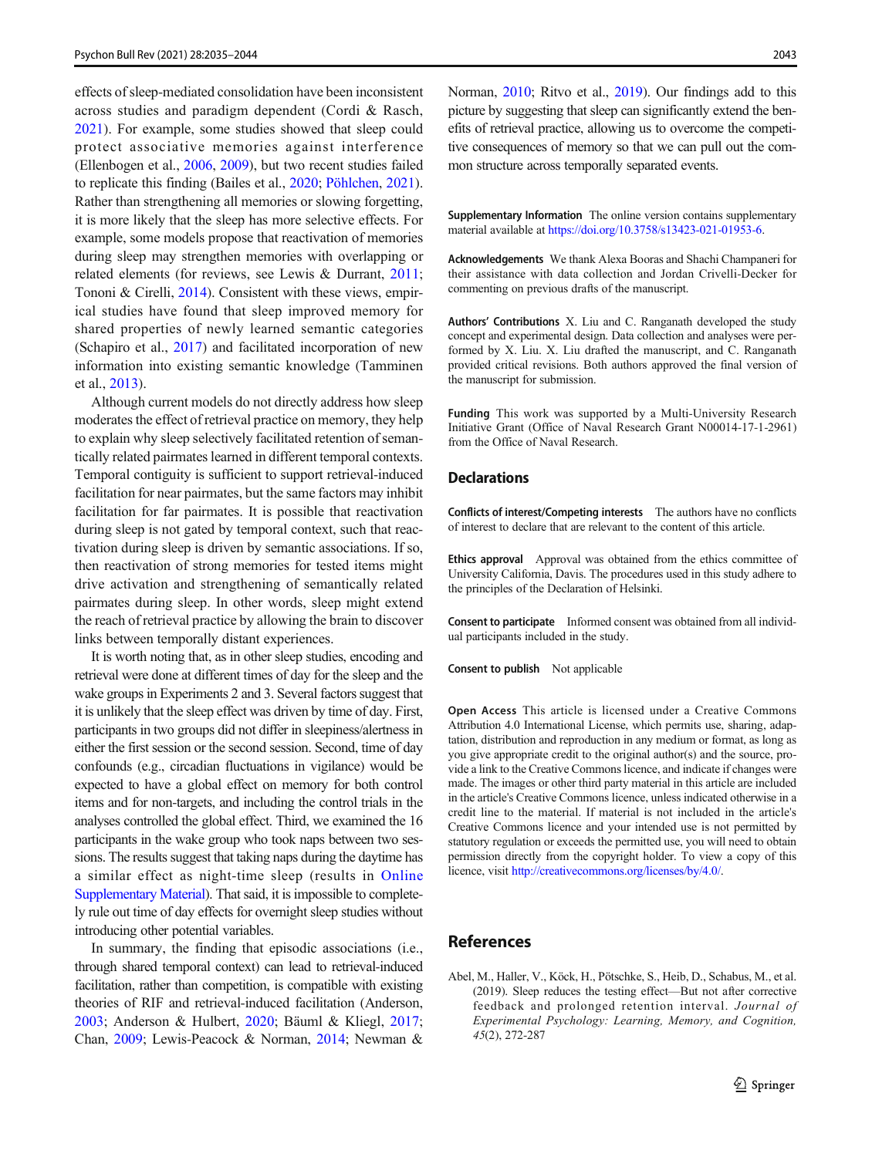<span id="page-8-0"></span>effects of sleep-mediated consolidation have been inconsistent across studies and paradigm dependent (Cordi & Rasch, [2021\)](#page-9-0). For example, some studies showed that sleep could protect associative memories against interference (Ellenbogen et al., [2006](#page-9-0), [2009](#page-9-0)), but two recent studies failed to replicate this finding (Bailes et al., [2020](#page-9-0); [Pöhlchen,](https://onlinelibrary.wiley.com/action/doSearch?ContribAuthorStored=P%C3%B6hlchen%2C+Dorothee) [2021\)](#page-9-0). Rather than strengthening all memories or slowing forgetting, it is more likely that the sleep has more selective effects. For example, some models propose that reactivation of memories during sleep may strengthen memories with overlapping or related elements (for reviews, see Lewis & Durrant, [2011](#page-9-0); Tononi & Cirelli, [2014](#page-9-0)). Consistent with these views, empirical studies have found that sleep improved memory for shared properties of newly learned semantic categories (Schapiro et al., [2017](#page-9-0)) and facilitated incorporation of new information into existing semantic knowledge (Tamminen et al., [2013\)](#page-9-0).

Although current models do not directly address how sleep moderates the effect of retrieval practice on memory, they help to explain why sleep selectively facilitated retention of semantically related pairmates learned in different temporal contexts. Temporal contiguity is sufficient to support retrieval-induced facilitation for near pairmates, but the same factors may inhibit facilitation for far pairmates. It is possible that reactivation during sleep is not gated by temporal context, such that reactivation during sleep is driven by semantic associations. If so, then reactivation of strong memories for tested items might drive activation and strengthening of semantically related pairmates during sleep. In other words, sleep might extend the reach of retrieval practice by allowing the brain to discover links between temporally distant experiences.

It is worth noting that, as in other sleep studies, encoding and retrieval were done at different times of day for the sleep and the wake groups in Experiments 2 and 3. Several factors suggest that it is unlikely that the sleep effect was driven by time of day. First, participants in two groups did not differ in sleepiness/alertness in either the first session or the second session. Second, time of day confounds (e.g., circadian fluctuations in vigilance) would be expected to have a global effect on memory for both control items and for non-targets, and including the control trials in the analyses controlled the global effect. Third, we examined the 16 participants in the wake group who took naps between two sessions. The results suggest that taking naps during the daytime has a similar effect as night-time sleep (results in Online Supplementary Material). That said, it is impossible to completely rule out time of day effects for overnight sleep studies without introducing other potential variables.

In summary, the finding that episodic associations (i.e., through shared temporal context) can lead to retrieval-induced facilitation, rather than competition, is compatible with existing theories of RIF and retrieval-induced facilitation (Anderson, [2003;](#page-9-0) Anderson & Hulbert, [2020](#page-9-0); Bäuml & Kliegl, [2017](#page-9-0); Chan, [2009](#page-9-0); Lewis-Peacock & Norman, [2014;](#page-9-0) Newman &

Norman, [2010;](#page-9-0) Ritvo et al., [2019](#page-9-0)). Our findings add to this picture by suggesting that sleep can significantly extend the benefits of retrieval practice, allowing us to overcome the competitive consequences of memory so that we can pull out the common structure across temporally separated events.

Supplementary Information The online version contains supplementary material available at [https://doi.org/10.3758/s13423-021-01953-6.](https://doi.org/10.3758/s13423-021-01953-6)

Acknowledgements We thank Alexa Booras and Shachi Champaneri for their assistance with data collection and Jordan Crivelli-Decker for commenting on previous drafts of the manuscript.

Authors' Contributions X. Liu and C. Ranganath developed the study concept and experimental design. Data collection and analyses were performed by X. Liu. X. Liu drafted the manuscript, and C. Ranganath provided critical revisions. Both authors approved the final version of the manuscript for submission.

Funding This work was supported by a Multi-University Research Initiative Grant (Office of Naval Research Grant N00014-17-1-2961) from the Office of Naval Research.

# **Declarations**

Conflicts of interest/Competing interests The authors have no conflicts of interest to declare that are relevant to the content of this article.

Ethics approval Approval was obtained from the ethics committee of University California, Davis. The procedures used in this study adhere to the principles of the Declaration of Helsinki.

Consent to participate Informed consent was obtained from all individual participants included in the study.

Consent to publish Not applicable

Open Access This article is licensed under a Creative Commons Attribution 4.0 International License, which permits use, sharing, adaptation, distribution and reproduction in any medium or format, as long as you give appropriate credit to the original author(s) and the source, provide a link to the Creative Commons licence, and indicate if changes were made. The images or other third party material in this article are included in the article's Creative Commons licence, unless indicated otherwise in a credit line to the material. If material is not included in the article's Creative Commons licence and your intended use is not permitted by statutory regulation or exceeds the permitted use, you will need to obtain permission directly from the copyright holder. To view a copy of this licence, visit <http://creativecommons.org/licenses/by/4.0/>.

# References

Abel, M., Haller, V., Köck, H., Pötschke, S., Heib, D., Schabus, M., et al. (2019). Sleep reduces the testing effect—But not after corrective feedback and prolonged retention interval. Journal of Experimental Psychology: Learning, Memory, and Cognition, 45(2), 272-287